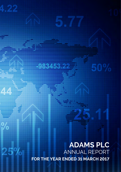**ADAMS PLC** ANNUAL REPORT **FOR THE YEAR ENDED 31 MARCH 2017**

 $\frac{0}{2}$ 

25%

5.7

50%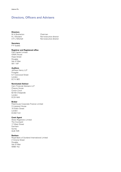# Directors, Officers and Advisers

### **Directors**

M A Bretherton Chairman

N J Woolard Non-executive director A R J Mitchell Non-executive director

# **Secretary**

P P Scales

# **Registrar and Registered office**

FIM Capital Limited IOMA House Hope Street Douglas Isle of Man IM1 1AP

# **Auditors**

Jeffreys Henry LLP Finsgate 5-7 Cranwood Street London EC1V 9EE

# **Nominated Advisor**

Cairn Financial Advisers LLP Cheyne House Crown Court 62–63 Cheapside London EC2V 6AX

# **Broker**

Peterhouse Corporate Finance Limited 3 Liverpool House 15 Eldon Street London EC2M 7LD

# **Crest Agent**

Share Registrars Limited The Courtyard 17 West Street Farnham Surrey GU9 7DR

# **Bankers**

Royal Bank of Scotland International Limited 2 Victoria Street Douglas Isle of Man IM99 1NJ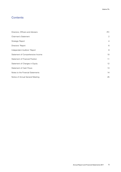# **Contents**

| Directors, Officers and Advisers  | <b>IFC</b>     |
|-----------------------------------|----------------|
| Chairman's Statement              | 2              |
| Strategic Report                  | $\overline{4}$ |
| Directors' Report                 | 6              |
| Independent Auditors' Report      | 9              |
| Statement of Comprehensive Income | 10             |
| Statement of Financial Position   | 11             |
| Statement of Changes in Equity    | 12             |
| <b>Statement of Cash Flows</b>    | 13             |
| Notes to the Financial Statements | 14             |
| Notice of Annual General Meeting  | 25             |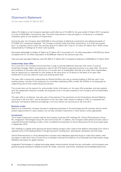# Chairman's Statement

for the year ended 31 March 2017

Adams Plc (Adams or the Company) reported a profit after tax of €14,000 for the year ended 31 March 2017 compared to a loss of  $\epsilon$ 234,000 in the previous year. The profit improvement is due principally to movements in unrealised revaluation gains on the valuation of investments.

During the year, the Company spent  $E225,000$  on the purchase of additional investments and realised proceeds of €175,000 from investment disposals. The Company currently holds 5 portfolio investments, 4 of which are quoted and 1 is unquoted, and for which the carrying value at 31 March 2017 was €1.10 million (31 March 2017: €0.87 million represented by 4 holdings all of which were quoted).

Net assets attributable to holders of Adams at 31 March 2017 amounted to €1.14 million (equivalent to €0.0270 per share) compared with  $£1.10$  million (equivalent to  $£0.0266$  per share) at the previous year end.

Cash and cash equivalent balances were €41,000 at 31 March 2017 compared to balances of €258,000 at 31 March 2016.

# **Underwritten Open Offer**

On 2 June 2017, the Company announced that in order to provide additional resources with which to fund its investment strategy, Adams is proposing to raise £1,031,915 (before expenses) pursuant to an open offer. The terms and conditions of the open offer are set out in a circular sent to shareholders that day and under which shareholders have an opportunity to subscribe for new shares at the issue price of 2.5 pence on the basis of an open offer entitlement of one new share for every one existing share held.

The open offer is being fully underwritten by Richard Griffiths who has an existing holding of 29.9 per cent in the existing shares, inclusive of the holding by his controlled undertaking ORA Limited. Mr Griffiths is not being paid an underwriting fee for that underwriting commitment.

The circular sets out the reasons for, and provides further information on, the open offer proposals, and also explains why the independent directors consider the proposals to be in the best interests of the Company and its shareholders as a whole.

The open offer is conditional, *inter alia*, upon (i) the passing of the resolutions at the Extraordinary General Meeting to be held on 28 June 2017, and (ii) admission of the new open offer shares to trading on AIM. It is expected that admission will become effective and dealings in the new shares will commence on 29 June 2017.

# **Business model**

Adams is an investment company focused on targeting businesses in the technology and life sciences sectors which present opportunities for value creation, but will also consider investments in other sectors where appropriate.

# **Investments**

The 4 listed investments currently held by the Company comprise GVC Holdings Plc, Oxford Pharmascience Group Plc, Imagination Technologies Group Plc and Communisis Plc. In addition, the Company holds shares and loan notes in unquoted Sherwood Holdings Limited, which completed the acquisition of Source Bioscience Plc as its principal asset in September 2016.

GVC Holdings is a global online gaming and sports betting company with a solid on-line platform technology from which it operates some of the leading brands in the gaming sector including bwin, sporting bet, partypoker and foxy bingo.

Oxford Pharmascience is a drug development company that redevelops approved drugs to make them better, safer and easier to take and it has a current focus to develop improved formulations of non-steroidal anti-inflammatory drugs (NSAIDs) and statins for global markets.

Imagination Technologies is a global technology leader whose products include the key multimedia, communications and general purpose processors needed to power all mobile, consumer, automotive, enterprise and embedded electronics.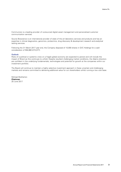Communisis is a leading provider of outsourced digital asset management and personalised customer communication services.

Source Bioscience is an international provider of state of the art laboratory services and products and has an expertise in clinical diagnostics, genomics, proteomics, drug discovery & development research and analytical testing services.

Following the 31 March 2017 year end, the Company disposed of 10,000 shares in GVC Holdings for a cash consideration of  $€84,880$  (£72,077).

### **Outlook**

Risks of a political or systemic crisis on a fragile global economy are expected to persist and will include the impact of Brexit as this continues to unfold. Despite resultant challenging market conditions, the Adams directors are confident in the underlying fundamentals, technologies and potential for growth at the companies within our investment portfolio.

The Board will continue to maintain a highly selective investment approach in these uncertain and challenging markets and remains committed to delivering additional value for our shareholders whilst running a low cost base.

Michael Bretherton **Chairman** 20 June 2017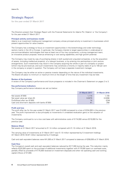# Strategic Report

for the year ended 31 March 2017

The Directors present their Strategic Report with the Financial Statements for Adams Plc ('Adams' or 'the Company') for the year ended 31 March 2017.

### **Principal activity and business model**

Adams is an investment holding and management company whose principal activity is investment in businesses which present opportunities for value creation.

The Company has a strategy to focus on investment opportunities in the biotechnology and wider technology sectors mainly in the UK or Europe. In particular, the Company intends to target opportunities in undervalued or pre-commercialisation technologies that have at least one of four key components: a strong management team; an innovative product proposal; revenue enhancing or cost saving capabilities; and high growth potential.

The Company may invest by way of purchasing shares in both quoted and unquoted companies, or by the acquisition of assets, (including intellectual property), of a relevant business, or by entering into partnerships or joint venture arrangements. Such investments may result in the Company acquiring the whole or part of a company or project (which may be pre-revenue), and such investments may constitute a minority or majority stake of up to 100 per cent in the company or project in question. The Company will not have a separate investment manager.

The Company may be either an active or passive investor depending on the nature of the individual investments. The Board will place no minimum or maximum limit on the length of time that any investment may be held.

#### **Review of the business**

A review of the Company's performance and future prospects is included in the Chairman's Statement on pages 2 to 3.

#### **Key performance indicators**

Key Company performance indicators are set out below:

|                                                   | 31 March 2017 | 31 March 2016 |
|---------------------------------------------------|---------------|---------------|
| Net assets $(E'000)$                              | 1.114         | 1.100         |
| Net asset value per share $(E)$                   | 0.0270        | 0.0266        |
| Profit/(loss) after tax $(E'000)$                 | 14            | (234)         |
| Cash and short-term deposits with banks $(E'000)$ | 41            | 258           |

#### **Profit and loss**

The profit after tax for the year ended 31 March 2017 was  $£14,000$  compared to a loss of  $£234,000$  in the previous year. The profit improvement is due principally to movements in unrealised revaluation gains on the valuation of investments.

The Company continued to run a low cost base with administrative costs of  $E174,000$  versus  $E219,000$  for the previous year.

#### **Balance Sheet**

Net assets at 31 March 2017 amounted to  $\epsilon$ 1.14 million compared with  $\epsilon$ 1.10 million at 31 March 2016.

The carrying value of investments at 31 March 2017 was  $£1.10$  million represented by 5 investment holdings (31 March 2016: €0.87 million represented by 4 holdings).

Cash and cash equivalent balances were €41,000 at 31 March 2017 compared to balances of €258,000 at 31 March 2016.

# **Cash flow**

The Company's overall cash and cash equivalent balances reduced by  $E217,000$  during the year. This reduction mainly reflects  $\epsilon$ 225,000 spent on the purchase of additional investments together with  $\epsilon$ 174,000 spent on overhead costs, partially offset by proceeds of €175,000 received on investment disposals and other net operating cash and working capital inflows of  $E$ 7,000.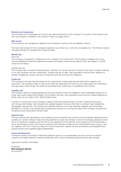### **Directors and employees**

The Company has 3 employees, all of whom are male and Directors of the Company. The profile of the Directors and their remuneration is detailed in the Directors' Report on pages 6 and 7.

#### **Risk review**

The Company's risk management objectives and exposure to various risks are detailed in Note 3.

The main risks arising from the Company's operations are market risk, credit risk and liquidity risk. The Directors review and agree policies for managing risk at least annually.

# **Market risk**

# Price risk

The Company is exposed to market price risk in respect of its investments. The Company mitigates this risk by having established investment appraisal processes and asset monitoring procedures which are subject to overall review by the Board.

#### Interest rate risk

The Company has no external financing facility, therefore, its interest rate risk is limited to the level of interest received on its cash surpluses and loan investments. Interest rate risk on cash, cash equivalents and short-term deposits is partially mitigated by using an element of fixed-rate accounts and short-term deposits.

# **Credit risk**

The Company's principal financial assets are its investments, its bank balances and cash held on deposit with institutions. The Company seeks to reduce the credit risk associated with cash by only holding cash with institutions that have good credit ratings. The credit risk associated with investments is considered to be minimal.

#### **Liquidity risk**

The Company seeks to manage liquidity by ensuring sufficient funds are available to meet foreseeable needs and to invest cash assets safely and profitably. The Company had cash, cash equivalents and short-term deposit balances of €0.04 million as at 31 March 2017 (2016: €0.26 million).

In order to minimise risk to the Company's capital, funds are invested across a number of financial institutions with strong credit ratings. Cash forecasts are updated regularly to ensure that there is sufficient cash available for foreseeable requirements. The Directors are satisfied that the current cash balances, together with the liquidity afforded by a number of its quoted equity investments and the low running cost base of the Company, ensures that the going concern assumption remains valid.

#### **External risks**

The key external risks identified by the Company during the financial year continue to be the adverse global economic conditions in certain markets. These have the potential to impact the markets in which the Company operates, both in terms of investment valuations and the risk for the operations and the growth of the operations of the businesses in which the Company invests. Key factors include the UK's decision to leave the EU and Donald Trump's victory in the US, together with risk in many countries of a mood of economic malaise that has contributed to anti-establishment, populist politics and a backlash against globalisation.

#### **Future developments**

The Board remains committed to delivering additional value for our shareholders and will continue to maintain a rigorous and highly selective investment approach with a view to exploiting opportunities as they emerge.

Approved on behalf of the Board

A Mitchell **Non-executive director** 20 June 2017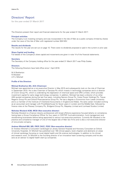# Directors' Report

for the year ended 31 March 2017

The Directors present their report and financial statements for the year ended 31 March 2017.

### **Principal activities**

The Company is an investing company and was incorporated in the Isle of Man as a public company limited by shares under the Laws of the Isle of Man with registered number 004145V.

### **Results and dividends**

The results for the year are set out on page 10. There were no dividends proposed or paid in the current or prior year.

#### **Share Capital and funding**

Full details of the Company's share capital and movements are given in note 14 of the financial statements.

#### **Secretary**

The Secretary of the Company holding office for the year ended 31 March 2017 was Philip Scales.

### **Directors**

The following Directors have held office since 1 April 2016:

M A Bretherton N Woolard A R J Mitchell

# **Profile of the Directors**

#### **Michael Bretherton BA, ACA (Chairman)**

Michael was appointed as a non-executive Director in May 2015 and subsequently took on the role of Chairman in September 2015. He is also Chairman of Sarossa Plc which invests in technology companies and is a director of Cronin Group Plc, which is undertaking the digitization of chemical space and ORA Limited, which provides investment capital for early stage technology companies. In addition, Michael has been a director of six other AIM quoted companies during the last five years, including Nanoco Group Plc, Ceres Power Holdings Plc, Tissue Regenix Group Plc and Oxford Pharmascience Group Plc. He has a degree in Economics from Leeds University and is a member of the Institute of Chartered Accountants in England and Wales. His early career included working as an accountant and manager with PriceWaterhouse for Seven years in London and the Middle East, followed by finance roles at the Plessey Company Plc, Bridgend Group Plc, Mapeley Limited and Lionhead Studios Limited.

# **Nicholas Woolard ACIB, MCSI (Non-executive director)**

Nicholas Woolard is a finance industry professional with broad offshore experience focused latterly on compliance, having been a Group Compliance Officer for four years in CSP/TSP, fund administration, fund management and stockbroking businesses before being appointed to various non-executive positions. Currently Mr Woolard is the practice and compliance manager of one of the largest Isle of Man law firms and is also a non-executive director of one private company.

### **Andrew Mitchell BM, MD, FRCP, FACC, FESC (Non-executive director)**

Dr Andrew Mitchell is Consultant Cardiologist at Jersey General Hospital and Honorary Consultant at Oxford University Hospitals. Dr Mitchell has published over 160 clinical papers, book chapters and abstracts on areas of clinical cardiology focusing on novel digital health and life science technologies. In addition to his clinical and research work, Dr Mitchell is the founding director of an innovative heart screening company and he also acts as an advisor to digital health start-up companies.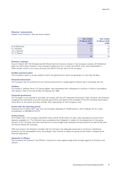#### **Directors' remuneration**

Details of the Directors' fees are shown below.

|                | <b>Year ended</b><br>31 March 2017<br>€ $'000$ | <b>Year ended</b><br><b>31 March 2016</b><br>€'000 |
|----------------|------------------------------------------------|----------------------------------------------------|
| M A Bretherton | 17                                             | 17                                                 |
| N J Woolard    | 21                                             | 22                                                 |
| A R J Mitchell | 17                                             | 14                                                 |
| N C P Nelson   |                                                | 17                                                 |
|                | 55                                             | 70                                                 |

# **Directors' interests**

As at 31 March 2017 Mr Woolard and Mr Mitchell did not hold any interest in the Company's shares. Mr Bretherton does not hold a direct interest in the Company's shares but he is a 5 per cent (2016: 5 per cent) shareholder in ORA Limited, which in turn owns 23.4 per cent (2016: 23.4 per cent) of the Company.

#### **Creditor payment policy**

The Company's policy is to pay creditors within the agreed terms which are generally no more than 30 days.

#### **Financial instruments**

The Company has not entered into any financial instruments to hedge against interest rate or exchange rate risk.

#### **Auditors**

Our auditors, Jeffreys Henry LLP, being eligible, have expressed their willingness to continue in office in accordance with Section 12(2) of the Isle of Man Companies Act 1982.

#### **Corporate governance**

The Company is not required to and does not comply with the UK Corporate Governance Code. However, the Directors recognise the importance of sound corporate governance and observe the principles of the UK Corporate Governance Code 2014, to the extent that they consider them appropriate for the Company's size.

#### **Events after the reporting period**

Following the 31 March 2017 year end, the Company disposed of 10,000 shares in GVC Holdings Plc for a cash consideration of  $€84,880$  (£72,077).

#### **Going concern**

At 31 March 2017, the Company had  $\epsilon$ 0.04 million (2016:  $\epsilon$ 0.26 million) of cash, cash equivalents and short-term deposits available to it. The Directors have considered their obligation in relation to the assessment of the going concern of the Company and have reviewed the current budget cash forecasts and assumptions as well as the main risk factors facing the Company.

After due enquiry, the Directors consider that the Company has adequate resources to continue in operational existence for the foreseeable future. Accordingly, they continue to adopt the going concern basis in preparing the financial statements.

#### **Indemnity of officers**

The Company has Directors' and Officers' Insurance to cover against legal action brought against its Directors and officers.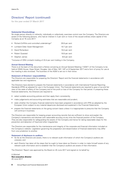# Directors' Report (continued)

for the year ended 31 March 2017

# **Substantial Shareholdings**

No single person directly or indirectly, individually or collectively, exercises control over the Company. The Directors are aware of the following persons, who had an interest in 3 per cent or more of the issued ordinary share capital of the Company as at 16 June 2017:

|           | • Stephen James                                  | 8.6 per cent  |
|-----------|--------------------------------------------------|---------------|
| $\bullet$ | <b>Robert Quested</b>                            | 18.8 per cent |
|           | • David Richardson                               | 19.4 per cent |
|           | • Lombard Odier Asset Management                 | 19.7 per cent |
|           | • Richard Griffiths and controlled undertakings* | 29.9 per cent |

\*Inclusive of ORA Limited's holding of 23.4 per cent holding in the Company.

# **Annual General Meeting**

There is at the back of this document a Notice convening an Annual General Meeting ("AGM") of the Company to be held at IOMA House, Hope Street, Douglas, Isle of Man, IM1 1AP on 8 September 2017 and a form of proxy for use at the meeting is also enclosed. The business of the AGM is set out in that notice.

# **Statement of Directors' responsibilities**

The Directors are responsible for preparing the Directors' Report and the financial statements in accordance with applicable law and regulations.

The Directors have elected to prepare the financial statements in accordance with International Financial Reporting Standards (IFRS) as adopted for use in the European Union. The financial statements are required to give a true and fair view of the state of affairs of the Company and of the profit or loss of the Company for that period. In preparing these financial statements, the Directors are required to:

- select suitable accounting policies and then apply them consistently;
- make judgements and accounting estimates that are reasonable and prudent;
- state whether the Company financial statements have been prepared in accordance with IFRS as adopted by the European Union subject to any material departures disclosed and explained in the Financial Statements;
- prepare the financial statements on the going concern basis unless it is inappropriate to presume that the Company will continue in business.

The Directors are responsible for keeping proper accounting records that are sufficient to show and explain the Company's transactions and disclose with reasonable accuracy at any time the financial position of the Company. They are also responsible for safeguarding the assets of the Company and hence for taking reasonable steps for the prevention and detection of fraud and other irregularities.

The Directors are responsible for the maintenance and integrity of the corporate and financial information included on the Company's website. Legislation governing the preparation and dissemination of financial statements may differ from one jurisdiction to another.

# **Statement of disclosure to auditors**

- So far as the Directors are aware, there is no relevant audit information of which the Company's auditors are unaware; and
- each Director has taken all the steps that he ought to have taken as Director in order to make himself aware of any relevant audit information and to establish that the Company's auditors are aware of that information.

The Directors' Report was approved by the Board on 20 June 2017 and signed on its behalf by:

A Mitchell **Non-executive director** 20 June 2017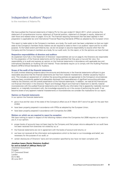# Independent Auditors' Report

to the members of Adams Plc

We have audited the financial statements of Adams Plc for the year ended 31 March 2017, which comprise the statement of comprehensive income, statement of financial position, statement of changes in equity, statement of cash flows and related notes on pages 10 to 24. The financial reporting framework that has been applied in their preparation is applicable law and International Financial Reporting Standards (IFRSs) as adopted by the European Union.

This report is made solely to the Company's members, as a body. Our audit work has been undertaken so that we might state to the Company's members those matters we are required to state to them in an auditors' report and for no other purpose. To the fullest extent permitted by law, we do not accept or assume responsibility to anyone other than the Company and the Company's members as a body, for our audit work, for this report, or for the opinions we have formed.

#### **Respective responsibilities of directors and auditors**

As explained more fully in the Statement of Directors' responsibilities set out on page 8, the Directors are responsible for the preparation of the financial statements and for being satisfied that they give a true and fair view. Our responsibility is to audit and express an opinion on the financial statements in accordance with applicable law and International Standards on Auditing (UK and Ireland). Those standards require us to comply with the Auditing Practices Board's (APB's) Ethical Standards for Auditors.

#### **Scope of the audit of the financial statements**

An audit involves obtaining evidence about the amounts and disclosures in the financial statements sufficient to give reasonable assurance that the financial statements are free from material misstatement, whether caused by fraud or error. This includes an assessment of: whether the accounting policies are appropriate to the Company's circumstances and have been consistently applied and adequately disclosed; the reasonableness of significant accounting estimates made by the Directors; and the overall presentation of the financial statements. In addition, we read all the financial and non-financial information in the Directors' Report and Strategic Report and Chairman's Statement to identify material inconsistencies with the audited financial statements and to identify any information that is apparently materially incorrect based on, or materially inconsistent with, the knowledge acquired by us in the course of performing the audit. If we become aware of any apparent material misstatements or inconsistencies we consider the implications for our report.

#### **Opinion on financial statements**

In our opinion the financial statements:

- give a true and fair view of the state of the Company's affairs as at 31 March 2017 and of its gain for the year then ended;
- have been properly prepared in accordance with IFRSs as adopted by the European Union;
- have been properly prepared in accordance with Companies Act 2006.

#### **Matters on which we are required to report by exception**

We have nothing to report in respect of the following matters where the Companies Act 2006 requires us to report to you if, in our opinion:

- proper books of accounts have not been kept by the Company and that proper returns adequate for our audit have not been received from branches not visited by us; or
- the financial statements are not in agreement with the books of account and returns; or
- we have not received all the information and explanations which to the best or our knowledge and belief, are necessary for the purpose of our audit; or
- certain disclosures of Directors' loans and remuneration specified by law have not been complied with.

#### **Jonathan Isaacs (Senior Statutory Auditor) for and on behalf of Jeffreys Henry LLP**

*Chartered Accountants* **Finsgate** 5-7 Cranwood Street London EC1V 9EE 20 June 2017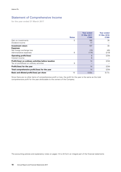# Statement of Comprehensive Income

for the year ended 31 March 2017

|                                                      |              | <b>Year ended</b><br>31 Mar 2017 | <b>Year ended</b><br>31 Mar 2016 |
|------------------------------------------------------|--------------|----------------------------------|----------------------------------|
|                                                      | <b>Notes</b> | €'000                            | € $'000$                         |
| Gain on investments                                  | 5            | 180                              | 30                               |
| Dividend income                                      |              | 17                               |                                  |
| Investment return                                    |              | 197                              | 30                               |
| <b>Expenses</b>                                      |              |                                  |                                  |
| Net foreign exchange loss                            |              | (15)                             | (45)                             |
| Administrative expenses                              | 8            | (174)                            | (219)                            |
| <b>Operating profit/(loss)</b>                       |              | 8                                | (234)                            |
| Interest income                                      |              | 6                                |                                  |
| Profit/(loss) on ordinary activities before taxation |              | 14                               | (234)                            |
| Tax on profit/(loss) on ordinary activities          | 9            |                                  |                                  |
| Profit/(loss) for the year                           |              | 14                               | (234)                            |
| Total comprehensive profit/(loss) for the year       |              | 14                               | (234)                            |
| Basic and diluted profit/(loss) per share            | 10           | 0.03c                            | (0.7)c                           |

Since there are no other items of comprehensive profit or loss, the profit for the year is the same as the total comprehensive profit for the year attributable to the owners of the Company.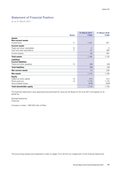# Statement of Financial Position

as at 31 March 2017

|                                 | <b>Notes</b> | <b>31 March 2017</b><br>€ $'000$ | <b>31 March 2016</b><br>€ $'000$ |
|---------------------------------|--------------|----------------------------------|----------------------------------|
|                                 |              |                                  |                                  |
| <b>Assets</b>                   |              |                                  |                                  |
| <b>Non-current assets</b>       |              |                                  |                                  |
| Investments                     | 11           | 1,101                            | 871                              |
| <b>Current assets</b>           |              |                                  |                                  |
| Trade and other receivables     | 12           | 2                                | 3                                |
| Cash and cash equivalents       | 11           | 41                               | 258                              |
| Current assets                  |              | 43                               | 261                              |
| <b>Total assets</b>             |              | 1,144                            | 1,132                            |
| <b>Liabilities</b>              |              |                                  |                                  |
| <b>Current liabilities</b>      |              |                                  |                                  |
| Trade and other payables        | 13           | (30)                             | (32)                             |
| <b>Total liabilities</b>        |              | (30)                             | (32)                             |
| <b>Net current assets</b>       |              | 13                               | 229                              |
| <b>Net assets</b>               |              | 1,114                            | 1,100                            |
| <b>Equity</b>                   |              |                                  |                                  |
| Called up share capital         | 14           | 413                              | 413                              |
| Share premium                   | 14           | 1,116                            | 1,116                            |
| Accumulated losses              |              | (415)                            | (429)                            |
| <b>Total shareholder equity</b> |              | 1,114                            | 1,100                            |

The financial statements were approved and authorised for issue by the Board on 20 June 2017 and signed on its behalf by:

Michael Bretherton Chairman

Company number – 004145V (Isle of Man)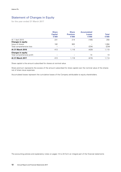# Statement of Changes in Equity

for the year ended 31 March 2017

|                            | <b>Share</b><br><b>Capital</b><br>€'000 | <b>Share</b><br><b>Premium</b><br>€'000 | <b>Accumulated</b><br><b>Losses</b><br>€'000 | <b>Total</b><br>€'000 |
|----------------------------|-----------------------------------------|-----------------------------------------|----------------------------------------------|-----------------------|
| At 1 April 2015            | 231                                     | 214                                     | (195)                                        | 250                   |
| <b>Changes in equity</b>   |                                         |                                         |                                              |                       |
| Issue of shares            | 182                                     | 902                                     |                                              | 1,084                 |
| Total comprehensive loss   |                                         |                                         | (234)                                        | (234)                 |
| At 31 March 2016           | 413                                     | 1,116                                   | (429)                                        | 1,110                 |
| <b>Changes in equity</b>   |                                         |                                         |                                              |                       |
| Total comprehensive profit |                                         |                                         | 14                                           | 14                    |
| At 31 March 2017           | 413                                     | 1,116                                   | (415)                                        | 1,114                 |

Share capital is the amount subscribed for shares at nominal value.

Share premium represents the excess of the amount subscribed for share capital over the nominal value of the shares net of share issue expenses.

Accumulated losses represent the cumulative losses of the Company attributable to equity shareholders.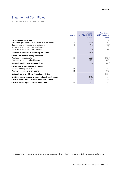# Statement of Cash Flows

for the year ended 31 March 2017

|                                                      | <b>Notes</b> | <b>Year ended</b><br>31 March 2017<br>€'000 | <b>Year ended</b><br><b>31 March 2016</b><br>€'000 |
|------------------------------------------------------|--------------|---------------------------------------------|----------------------------------------------------|
| Profit/(loss) for the year                           |              | 14                                          | (234)                                              |
| Unrealised (gain)/loss on revaluation of investments | 5            | (166)                                       | 162                                                |
| Realised gain on disposal of investments             | 5            | (14)                                        | (192)                                              |
| Decrease in trade and other receivables              |              |                                             |                                                    |
| Decrease in trade and other payables                 |              | (2)                                         | (60)                                               |
| Net cash outflow from operating activities           |              | (167)                                       | (317)                                              |
| <b>Cash flows from investing activities</b>          |              |                                             |                                                    |
| Purchase of investments                              | 11           | (225)                                       | (1,024)                                            |
| Proceeds from disposals of investments               |              | 175                                         | 357                                                |
| Net cash used in investing activities                |              | (50)                                        | (667)                                              |
| <b>Cash flows from financing activities</b>          |              |                                             |                                                    |
| Issue of ordinary share capital                      | 14           |                                             | 182                                                |
| Premium on issue of share capital                    | 14           |                                             | 902                                                |
| Net cash generated from financing activities         |              |                                             | 1,084                                              |
| Net (decrease)/increase in cash and cash equivalents |              | (217)                                       | 100                                                |
| Cash and cash equivalents at beginning of year       |              | 258                                         | 158                                                |
| Cash and cash equivalents at end of year             | 11           | 41                                          | 258                                                |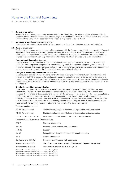# Notes to the Financial Statements

for the year ended 31 March 2017

# **1 General information**

Adams Plc is a company incorporated and domiciled in the Isle of Man. The address of the registered office is disclosed on the Directors, Officers and Advisers page at the inside front cover of the annual report. The principal activities of the Company are described in the Directors' Report and Strategic Report.

# **2 Summary of significant accounting policies**

The principal accounting policies applied in the preparation of these financial statements are set out below.

# **2.1 Basis of preparation**

The financial statements have been prepared in accordance with the Companies Act 2006 and International Financial Reporting Standards (IFRS). IFRS comprises of standards issued by the International Accounting Standards Board (IASB) and the interpretations issued by the International Financial Reporting Interpretations Committee (IFRIC) as adopted by the European Union (EU). The financial statements have been prepared on a going concern basis.

#### **Preparation of financial statements**

The preparation of financial statements in conformity with IFRS requires the use of certain critical accounting estimates. It also requires management to exercise its judgement in the process of applying the Company's accounting policies. The areas involving a higher degree of judgement or complexity, or areas where assumptions and estimates are significant to the financial statements are disclosed in Note 4.

# **Changes in accounting policies and disclosures**

The accounting policies adopted are consistent with those of the previous financial year. New standards and amendments to IFRS effective as for the financial reporting period have been reviewed by the Company and there has been no material impact on the financial statements as a result of these standards and amendments. The Company has not early adopted any amendment, standard or interpretation that has been issued but is not yet effective.

# **Standards issued but not yet effective**

There were a number of standards and interpretations which were in issue at 31 March 2017 but were not effective at 31 March 2017 and have not been adopted for these Financial Statements. The Directors have assessed the full impact of these accounting changes on the Company. To the extent that they may be applicable, the Directors have concluded that none of these pronouncements will cause material adjustments to the Company's Financial Statements. They may result in consequential changes to the accounting policies and other note disclosures. The new standards will not be early adopted by the Company and will be incorporated in the preparation of the Company Financial Statements from the effective dates noted below.

The new standards include:

| IAS 16 (Amendments)                                                            | Clarification of Acceptable Methods of Depreciation and Amortisation <sup>1</sup> |
|--------------------------------------------------------------------------------|-----------------------------------------------------------------------------------|
| IAS 38 (Amendments)                                                            | Clarification of Acceptable Methods of Depreciation and Amortisation <sup>1</sup> |
| IFRS 10, IFRS 12 and IAS 28                                                    | Investments Entities: Applying the Consolidation Exception <sup>1</sup>           |
| Standards issued but not yet effective include:                                |                                                                                   |
| IFRS 9                                                                         | Financial Instruments <sup>3</sup>                                                |
| IFRS 15                                                                        | Revenue from Contracts with Customers <sup>3</sup>                                |
| IFRS 16                                                                        | Leases <sup>4</sup>                                                               |
| <b>IAS 12</b>                                                                  | Recognition of deferred tax assets for unrealised losses <sup>2</sup>             |
| IAS <sub>7</sub>                                                               | Disclosure initiative <sup>2</sup>                                                |
| Clarifications to IFRS 15                                                      | Revenue from Contracts with Customers <sup>3</sup>                                |
| Amendments to IFRS 2                                                           | Classification and Measurement of Share-based Payment Transactions <sup>3</sup>   |
| Improvements to IFRSs                                                          | Annual Improvements 2014-2016 Cycle <sup>3,4</sup>                                |
| <sup>1</sup> Effective for annual periods beginning on or after 1 January 2016 |                                                                                   |

2 Effective for annual periods beginning on or after 1 January 2017

3 Effective for annual periods beginning on or after 1 January 2018

4 Effective for annual periods beginning on or after 1 January 2019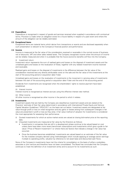# **2.2 Expenditure**

Expenditure is recognised in respect of goods and services received when supplied in accordance with contractual terms. Provision is made when an obligation exists for a future liability in respect of a past event and where the amount of the obligation can be reliably estimated.

#### **2.3 Exceptional items**

Exceptional items are material items which derive from transactions or events and are disclosed separately when such presentation is relevant to the Company's financial position and performance.

# **2.4 Income**

Income is measured at the fair value of the consideration received or receivable in the normal course of business, net of discounts, VAT and other sales related taxes. The Company recognises income when the amount of income can be reliably measured and when it is probable that the future economic benefits will flow into the Company.

#### (i) Investment return

Investment return represents the sum of realised gains and losses on the disposal of investment assets and the unrealised gains and losses on the revaluation of these, together with any related investment income received and receivable.

Realised gains and losses on the disposal of investments is the difference between the fair value of the consideration received less any directly attributable costs on the sale and the fair value of the investments at the start of the accounting period or acquisition date if later.

Unrealised gains and losses on the revaluation of investments is the movement in carrying value of investments between the start of the accounting period or acquisition date if later and the end of the accounting period.

Dividends from investments are recognised when the shareholders' rights to receive payment have been established.

(ii) Interest income

Interest income is recognised as interest accrues using the effective interest rate method.

(iii) Other income

All other income is recognised as other income in the period to which it relates.

#### **2.5 Investments**

Investment assets that are held by the Company are classified as investment assets and are stated at the Directors' estimate of their fair value determined in accordance with International Private Equity and Venture Capital Valuation Guidelines ("IPEVCVG") on the basis set out below. Investment assets are designated at fair value through profit or loss on initial recognition and any gains or losses arising from subsequent changes in fair value are presented in profit or loss as they arise. A fair value method of valuation for investments is considered the most appropriate for assessing their performance.

- (i) Quoted investments for which an active market exists are valued at closing bid-market price at the reporting date.
- (ii) Unquoted investments are measured at fair value by the Directors as follows:
	- Investments in companies that are still in a development phase continue to be valued based on cost unless there have been more recent benchmark subscriptions and investments which give a guide to fair value ("Price of Recent Investment") or where there are factors that indicate a change in fair value has occurred.
	- Once the business becomes established, investments are valued based on an estimate of the fair value for the investee company derived using methodologies which include applying an average sector earnings multiple to operating profits, valuation by reference to net asset base and discounted cash flows.

None of the Company's investments have met the criteria for consolidation on the basis of either a subsidiary, associate or joint venture and therefore have not been consolidated. The Board has concluded that the Company continues to meet the definition of an investment entity and to account for its investments as such.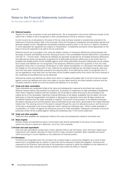# Notes to the Financial Statements (continued)

for the year ended 31 March 2017

# **2.6 Deferred taxation**

Taxation for the year comprises current and deferred tax. Tax is recognised in the income statement except to the extent that it relates to items recognised in other comprehensive income or directly in equity.

Current income tax is calculated on the basis of the tax rates and laws enacted or substantively enacted at the statement of financial position date in the countries where the Company's subsidiaries and associates operate and generate taxable income. Management periodically evaluates positions taken in tax returns in regard to situations in which applicable tax regulations are subject to interpretation. It establishes provisions where appropriate on the basis of amounts expected to be paid to the tax authorities.

Deferred income tax is provided in full, using the liability method, on temporary differences arising between the tax bases of assets and liabilities and their carrying amounts in the consolidated financial statements in accordance with IAS 12 – 'Income Taxes'. Deferred tax liabilities are generally recognised for all taxable temporary differences, and deferred tax assets are generally recognised for all deductible temporary differences to the extent that it is probable that taxable profits will be available against which those deductible temporary differences can be utilised. Such assets and liabilities are not recognised if the temporary difference arises from goodwill or from the initial recognition (other than in a business combination) of other assets and liabilities in a transaction that affects neither the taxable nor the accounting profit or loss. Deferred tax assets and liabilities are calculated using tax rates and laws that have been substantively enacted at the reporting date. A net deferred tax asset is recognised only if it can be regarded as more likely than not that there will be suitable taxable profits from which the future reversal of the underlying timing differences can be deducted.

Deferred tax assets and liabilities are offset when there is a legally enforceable right to set off current tax assets against current tax liabilities and when they relate to income taxes levied by the same taxation authority and the Company intends to settle its current tax assets and liabilities on a net basis.

### **2.7 Trade and other receivables**

Trade receivables are recognised initially at fair value and subsequently measured at amortised cost using the effective interest method, less provision for impairment. A provision for impairment of trade receivables is established when there is objective evidence that the Company will not be able to collect all amounts due according to the original terms of the receivables. Significant financial difficulties of the debtor, probability that the debtor will enter bankruptcy or financial reorganisation, and default or delinquency in payments (more than 30 days overdue) are considered indicators that the trade receivable is impaired. The amount of the provision is the difference between the asset's carrying amount and the present value of estimated future cash flows, discounted at the original effective interest rate. The carrying amount of the asset is reduced through the use of an allowance account, and the amount of the loss is recognised in the income statement within 'selling and marketing costs'. When a trade receivable is uncollectible, it is written off against the allowance account for trade receivables. Subsequent recoveries of amounts previously written off are credited against 'selling and marketing costs' in the income statement.

# **2.8 Trade and other payables**

Trade and other payables are recognised initially at fair value and subsequently stated at amortised cost.

# **2.9 Share Capital**

Ordinary shares are classified as equity. Incremental costs directly attributable to the issue of new shares or options are shown in equity as a deduction, net of tax, from proceeds.

#### **2.10 Cash and cash equivalents**

Cash and cash equivalents include cash in hand, deposits held on call with banks, other short-term highly liquid investments with original maturities of three months or less, and bank overdrafts. Bank overdrafts are shown within borrowings in current liabilities on the statement of financial position.

# **2.11 Provisions**

Provisions are recognised when the Company has a present legal or constructive obligation as a result of past events and it is probable that an outflow or resources will be required to settle that obligation. Provisions are measured at the Directors' best estimate of the expenditure required to settle the obligation at the statement of financial position date, and are discounted to present value where the effect is material.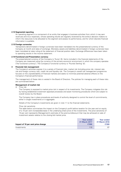# **2.12 Segmental reporting**

An operating segment is a component of an entity that engages in business activities from which it may earn revenues and incur expenses, whose operating results are regularly reviewed by the entity's decision makers to inform the resources to be allocated to the segment and assess its performance, and for which discrete financial information is available.

### **2.13 Foreign currencies**

Transactions denominated in foreign currencies have been translated into the presentational currency of the Company at month end rates of exchange. Monetary assets and liabilities denominated in foreign currencies have been translated at rates ruling at the statement of financial position date. Exchange differences have been taken to operating results in the income statement.

### **2.14 Functional and Presentation currency**

The presentational currency of the Company is 'Euros'  $(f)$ . Items included in the financial statements of the Company are measured using the currency of the primary economic environment in which the company operates ('the functional currency'). The Company's functional currency is 'Pounds Sterling' (£).

# **3 Financial risk management**

The Company's activities expose it to a variety of financial risks: market risk (including price risk, interest rate risk and foreign currency risk), credit risk and liquidity risk. The Company's overall risk management programme focuses on the unpredictability of financial markets and seeks to minimise potential adverse effects on the Company's financial performance.

The management of these risks is vested in the Board of Directors. The policies for managing each of these risks are summarised below:

### **Management of market risk**

(i) Price risk

The Company is exposed to market price risk in respect of its investments. The Company mitigates this risk by having established investment appraisal processes and asset monitoring procedures which are subject to overall review by the Board.

The Company has in place procedures and levels of authority designed to control the level of commitments, either in single investments or in aggregate.

Details of the Company's investments are given in note 11 to the financial statements.

#### *Price risk sensitivity*

The table below summarises the impact on the Company's profit before taxation for the year and on equity of a 10 per cent increase/decrease in the underlying share price of the investments. The price sensitivity of 10 per cent represents Management's estimate of the premium/discount that may be achieved on sale of investment assets relative to the closing bid market price.

|                                    | <b>Year ended</b><br>31 March 2017 | <b>Year ended</b><br>31 March 2016 |
|------------------------------------|------------------------------------|------------------------------------|
| Impact of 10 per cent price change | € $'000$                           | €'000                              |
| Investments                        | 110                                | 87                                 |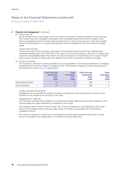# Notes to the Financial Statements (continued)

for the year ended 31 March 2017

# **3 Financial risk management** – continued

#### (ii) Interest rate risk

As the Company has no borrowings, the risk is limited to the impact of interest received on cash surpluses held. Interest rate risk is managed in accordance with the liquidity requirements of the Company, with a minimum appropriate level of its cash surpluses held within an instant access account, which has a variable interest rate attributable to it, to ensure that sufficient funds are available to cover the Company's liquidity needs.

# *Interest rate sensitivity*

The principal impact to the Company is the result of interest-bearing cash and short-term deposit (cash equivalent) balances held. At 31 March 2017, the impact of a 5 per cent increase or decrease in interest rates would have increased/decreased the profit for the year and equity by a minimal amount as a result of higher/ lower interest received on floating rate cash deposits and as such no sensitivity analysis is provided.

(iii) Currency risk profile

The Company is exposed to currency translation risk upon preparation of the financial statements. No hedging arrangements are currently in place to mitigate this risk. The Company manages its foreign exchange risk at Board level and monitors it on an ongoing basis.

|                      | <b>Cash and cash</b><br>equivalents<br>2017<br>€ $'000$ | Trade<br><b>receivables</b><br>2017<br>€'000 | <b>Cash and cash</b><br>equivalents<br>2016<br>€'000 | <b>Trade</b><br>receivables<br>2016<br>€'000 |
|----------------------|---------------------------------------------------------|----------------------------------------------|------------------------------------------------------|----------------------------------------------|
| Sterling denominated | 41                                                      |                                              | 258                                                  | 3                                            |
| Euros equivalent     | 41                                                      |                                              | 258                                                  | 3                                            |

# *Foreign exchange risk sensitivity*

Management do not consider the impact of possible exchange rate movements based on current market conditions to be material to the net result for the year.

#### *Management of credit risk*

The Company's principal financial assets are investments and bank balances and short-term deposits. Credit risk associated with trade receivables is considered to be minimal.

The Company seeks to limit the level of credit risk on the cash balances by only depositing surplus liquid funds with counterparty banks with high credit ratings. The credit risk associated with investments is considered minimal.

The maximum exposure to credit risk on the Company's financial assets is represented by their carrying amount, as outlined in the categorisation of financial instruments table below.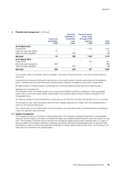# **3 Financial risk management** – continued

| <b>Net total</b>          | 258              | (32)                | 871                              | 1,097        |
|---------------------------|------------------|---------------------|----------------------------------|--------------|
| Trade and other payables  |                  | (32)                |                                  | (32)         |
| Cash and cash equivalents | 258              |                     |                                  | 258          |
| Investments               |                  |                     | 871                              | 871          |
| At 31 March 2016          |                  |                     |                                  |              |
| <b>Net total</b>          | 41               | (30)                | 1,101                            | 1,112        |
| Trade and other payables  |                  | (30)                |                                  | (30)         |
| Cash and cash equivalents | 41               |                     |                                  | 41           |
| Investments               |                  |                     | 1,101                            | 1,101        |
| At 31 March 2017          |                  |                     |                                  |              |
|                           | € $'000$         | € $'000$            | €'000                            | €'000        |
|                           | receivables      | cost                | and loss                         | <b>Total</b> |
|                           | <b>Loans and</b> | amortised           | through profit                   |              |
|                           |                  | .<br>liabilities at | н шински изэстэ<br>at fair value |              |

**Financial Financial assets**

The Company does not consider that any changes in fair value of financial assets in the year are attributable to credit risk.

Investments are valued at closing bid market price at the reporting date. Quoted investments are all classed as Level 1 investments and Unquoted equity shares and loan notes are considered to be Level 2 investments.

No aged analysis of financial assets is presented as no financial assets are past due at the reporting date.

#### *Management of liquidity risk*

The Company seeks to manage liquidity risk to ensure that sufficient liquidity is available to meet foreseeable needs and to invest cash assets safely and profitably. The Company deems there is sufficient liquidity for the foreseeable future.

No maturity analysis for financial liabilities is presented, as the Directors consider that liquidity risk is not material.

The Company's cash, cash equivalents and short-term deposit balances at 31 March 2017 are detailed above in note 3 to the financial statements.

At 31 March 2017 and 31 March 2016, with the exception of investment assets, all financial assets and liabilities mature for payment within one year.

#### **3.1 Capital management**

The Company's policy is to maintain a strong capital base. The Company manages all elements of shareholders' equity as financial capital, and seeks to increase this figure as a stated business objective over the medium to long term. The Company is entirely equity financed with no external capital requirements imposed upon it. In order to preserve capital the Company maintains a balanced investment portfolio and appropriate levels of cash and cash equivalents in order to remain liquid and take advantage of market opportunities as they arise. The Company's net asset value is monitored on an ongoing basis.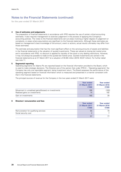# Notes to the Financial Statements (continued)

for the year ended 31 March 2017

# **4 Use of estimates and judgements**

The preparation of financial statements in accordance with IFRS requires the use of certain critical accounting estimates. It also requires management to exercise judgement in the process of applying the Company's accounting policies. The notes to the financial statements set out areas involving a higher degree of judgement or complexity, or areas where assumptions are significant to the financial statements. Although these estimates are based on management's best knowledge of the amount, event or actions, actual results ultimately may differ from those estimates.

The estimate and assumption that has the most significant effect on the carrying amounts of assets and liabilities in the financial statements is the valuation of quoted investments. These are valued at closing bid market price and in accordance with IFRS, no discount is applied for liquidity of the stock or any dealing restrictions. However, it may not always be possible to trade at the quoted bid market price. Quoted investments are carried in the financial statements as at 31 March 2017 at a valuation of  $E(0.99$  million (2016:  $E(0.87$  million). For further detail see note 11.

# **5 Segmental reporting**

Operating segments for Adams Plc are reported based on the financial information provided to the Board, which is used to make strategic decisions. The Directors are of the opinion that under IFRS 8 – 'Operating segments' the Company has only one reportable segment, being Investment return. The Board assesses the performance of the operating segment based on financial information which is measured and presented in a manner consistent with that in the financial statements.

The principal sources of revenue for the Company in the two years ended 31 March 2017 were:

|                                                                                       | <b>Year ended</b><br>31 March 2017<br>€'000 | <b>Year ended</b><br>31 March 2016<br>€'000 |
|---------------------------------------------------------------------------------------|---------------------------------------------|---------------------------------------------|
| Movement in unrealised gains/(losses) on investments<br>Realised gains on investments | 166<br>14                                   | (162)<br>192                                |
| Gain on investments                                                                   | 180                                         | 30                                          |

# **6 Directors' remuneration and fees**

|                                      | Year ended    | <b>Year ended</b> |
|--------------------------------------|---------------|-------------------|
|                                      | 31 March 2017 | 31 March 2016     |
|                                      | € $'000$      | €'000             |
| Remuneration for qualifying services | 55            | 70                |
| Social security cost                 | 2             |                   |
|                                      | 57            | 77                |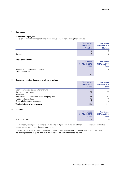# **7 Employees**

#### **Number of employees**

The average monthly number of employees (including Directors) during the year was:

|                  | <b>Year ended</b><br>31 March 2017<br><b>Number</b> | <b>Year ended</b><br>31 March 2016<br><b>Number</b> |
|------------------|-----------------------------------------------------|-----------------------------------------------------|
|                  | っ<br>O                                              | Ç                                                   |
| <b>Directors</b> | 3                                                   | $\mathbf{C}$                                        |

# **Employment costs**

|                                      | Year ended<br>31 March 2017<br>€ $'000$ | <b>Year ended</b><br>31 March 2016<br>€'000 |
|--------------------------------------|-----------------------------------------|---------------------------------------------|
| Remuneration for qualifying services | 55                                      | 70                                          |
| Social security cost                 | っ                                       |                                             |
|                                      | 57                                      | 77                                          |

# **8 Operating result and expense analysis by nature**

| Operating result and experise analysis by nature | <b>Year ended</b><br>31 March 2017<br>€'000 | <b>Year ended</b><br><b>31 March 2016</b><br>€'000 |
|--------------------------------------------------|---------------------------------------------|----------------------------------------------------|
| Operating result is stated after charging:       |                                             |                                                    |
| Directors' emoluments                            | 57                                          | 77                                                 |
| Audit fees                                       | 10                                          | 11                                                 |
| Professional and broker and listed company fees  | 85                                          | 103                                                |
| Investor relations fees                          | 16                                          | 19                                                 |
| Other administrative expenses                    | 6                                           | 9                                                  |
| <b>Total administrative expenses</b>             | 174                                         | 212                                                |

# **9 Taxation**

|                   | Year ended<br>31 March 2017<br>€ $'000$ | <b>Year ended</b><br>31 March 2016<br>€'000 |
|-------------------|-----------------------------------------|---------------------------------------------|
| Total current tax |                                         |                                             |

The Company is subject to income tax at the rate of 0 per cent in the Isle of Man and, accordingly, no tax has been provided for in these financial statements.

The Company may be subject to withholding taxes in relation to income from investments, or investment realisation proceeds or gains, and such amounts will be accounted for as incurred.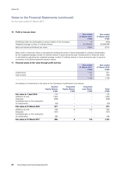# Notes to the Financial Statements (continued)

for the year ended 31 March 2017

# **10 Profit or loss per share**

|                                                                       | <b>Year ended</b><br><b>31 March 2017</b><br>€'000 | <b>Year ended</b><br>31 March 2016<br>€'000 |
|-----------------------------------------------------------------------|----------------------------------------------------|---------------------------------------------|
| Profit/(loss) after tax attributable to equity holders of the Company | 14                                                 | (234)                                       |
| Weighted average number of ordinary shares                            | 41.276.616                                         | 32.559.306                                  |
| Basic and diluted profit/(loss) per share                             | 0.03c                                              | (0.7)c                                      |

Basic profit or (loss) per share is calculated by dividing the profit or (loss) attributable to ordinary shareholders by the weighted average number of ordinary shares in issue during the year. Diluted profit or (loss) per share is calculated by adjusting the weighted average number of ordinary shares in issue during the year to assume conversion of all dilutive potential ordinary shares.

# **11 Financial assets at fair value through profit and loss**

|              | Year ended<br>31 March 2017<br>€'000 | <b>Year ended</b><br>31 March 2016<br>€'000 |
|--------------|--------------------------------------|---------------------------------------------|
| Investments  | 1,101                                | 871                                         |
| Cash at bank | 41                                   | 258                                         |
|              | 1.142                                | 1,129                                       |

An analysis of movements in the value of the Company's investments is as follows:

|                                    | <b>Quoted</b><br><b>Equity Shares</b><br>€ $'000$ | <b>Unquoted</b><br><b>Equity Shares</b><br>€'000 | <b>Unquoted</b><br><b>Loan Notes</b><br>€'000 | <b>Total</b><br>€'000 |
|------------------------------------|---------------------------------------------------|--------------------------------------------------|-----------------------------------------------|-----------------------|
| Fair value at 1 April 2015         | 174                                               |                                                  |                                               | 174                   |
| Additions at cost                  | 1.024                                             |                                                  |                                               | 1.024                 |
| <b>Disposals</b>                   | (295)                                             |                                                  |                                               | (295)                 |
| Unrealised loss on the revaluation |                                                   |                                                  |                                               |                       |
| of investments                     | (32)                                              |                                                  |                                               | (32)                  |
| Fair value at 31 March 2016        | 871                                               |                                                  |                                               | 871                   |
| Additions at cost                  | 109                                               | 6                                                | 110                                           | 225                   |
| <b>Disposals</b>                   | (161)                                             |                                                  |                                               | (161)                 |
| Unrealised gain on the revaluation |                                                   |                                                  |                                               |                       |
| of investments                     | 166                                               |                                                  |                                               | 166                   |
| Fair value at 31 March 2017        | 985                                               | 6                                                | 110                                           | 1,101                 |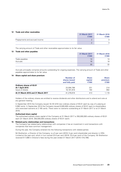### **12 Trade and other receivables**

|                                | 31 March 2017<br>€'000 | 31 March 2016<br>€'000 |
|--------------------------------|------------------------|------------------------|
| Prepayments and accrued income |                        |                        |
|                                |                        |                        |

The carrying amount of Trade and other receivables approximates to its fair value.

#### **13 Trade and other payables**

|                | 31 March 2017<br>€'000 | 31 March 2016<br>€'000 |
|----------------|------------------------|------------------------|
| Trade payables | 14                     | 14                     |
| Accruals       | 16                     | 18                     |
|                | 30                     | 32                     |

Accruals principally comprise amounts outstanding for ongoing expenses. The carrying amount of Trade and other payables approximates to its fair value.

# **14 Share capital and share premium**

|                                    | <b>Number of</b><br>shares issued<br>and fully paid | <b>Share</b><br>capital<br>€'000 | <b>Share</b><br>premium<br>€'000 |
|------------------------------------|-----------------------------------------------------|----------------------------------|----------------------------------|
| Ordinary shares of €0.01           |                                                     |                                  |                                  |
| <b>At 1 April 2015</b>             | 23,094,798                                          | 231                              | 214                              |
| Issue of shares                    | 18,181,818                                          | 182                              | 902                              |
| At 31 March 2016 and 31 March 2017 | 41,276,616                                          | 413                              | 1,116                            |

Holders of the ordinary shares are entitled to receive dividends and other distributions and to attend and vote at any general meeting.

In September 2015 the Company issued 18,181,818 new ordinary shares of  $\epsilon$ 0.01 each by way of a placing at 5.962 cents. In September 2014 the Company issued 6,928,406 ordinary shares of €0.01 each to shareholders who exercised warrants at 2.165 cents. There were no warrants outstanding at 31 March 2017 or at 31 March 2016.

#### **Authorised share capital**

The authorised ordinary share capital of the Company at 31 March 2017 is 350,000,000 ordinary shares of  $\epsilon$ 0.01 each (31 March 2016: 350,000,000 ordinary shares of  $£0.01$  each).

# **15 Related party relationships and transactions**

The Company has related party relationships with companies it has an investment in and transactions with companies that have common management.

During the year, the Company entered into the following transactions with related parties:

Mr Bretherton, a Director of the Company, is a 5 per cent (2016: 5 per cent) shareholder and director in ORA Limited at the year end, which in turn owned 23.4 per cent (2016: 23.4 per cent) of the Company. Mr Bretherton received €17,886 in Director's fees during the year ended 31 March 2017 (2016: €16,796).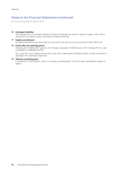# Notes to the Financial Statements (continued)

for the year ended 31 March 2017

# **16 Contingent liabilities**

The Company has no contingent liabilities of which the Directors are aware in respect of legal or other claims arising from the ordinary course of business (31 March 2016: Nil).

### **17 Capital commitments**

No capital expenditure was committed for at the end of the year but not yet incurred (31 March 2016: Nil).

### **18 Events after the reporting period**

Following the 31 March 2017 year end, the Company disposed of 10,000 shares in GVC Holdings Plc for a cash consideration of  $£84,880$  (£72,077).

On 2 June 2017 the Company announced an open offer underwritten by Richard Griffiths. Further information is disclosed in the Chairman's Statement.

# **19 Ultimate controlling party**

In the opinion of the Directors, there is no ultimate controlling party. The list of major shareholders is given on page 8.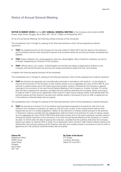# Notice of Annual General Meeting

**NOTICE IS HEREBY GIVEN** that the **2017 ANNUAL GENERAL MEETING** of the Company will be held at IOMA House, Hope Street, Douglas, Isle of Man, IM1 1AP at 11:00am on 8 September 2017.

At the Annual General Meeting, the following ordinary business will be transacted:

The consideration and, if thought fit, passing of the following resolutions which will be proposed as ordinary resolutions:

- **1 <b>THAT** the audited accounts of the Company for the year ended 31 March 2017 and the reports of the Directors and the Auditors and any other document required to be annexed thereto be and they are hereby considered and adopted.
- **2 THAT** Andrew Mitchell who, having agreed to retire but, being eligible, offers himself for re-election, be and he is hereby re-appointed as a Director of the Company.
- **3 THAT** Jeffreys Henry LLP, London, United Kingdom be and they are hereby re-appointed as Auditors to the Company and that the Directors be and they are hereby authorised to determine their remuneration.

In addition the following special business will be transacted:

The consideration and, if thought fit, passing of the following resolution which will be proposed as an ordinary resolution:

**4 THAT** the Directors be generally and unconditionally authorised in accordance with article 5.1 of the Articles to exercise all the powers of the Company to allot ordinary shares up to an aggregate par value of  $\epsilon$ 412,766.16; such authority to expire (unless and to the extent previously revoked, varied or renewed by the Company in general meeting) at the conclusion of the next Annual General Meeting of the Company or, if earlier, the date 12 months after the date of passing this resolution; provided that this authority shall allow the Company, before such expiry, to make an offer or enter into an agreement which would or might require ordinary shares to be allotted after this authority expires and the Directors may allot such ordinary shares in pursuance of such an offer or agreement as if the authority conferred hereby had not expired.

The consideration and, if thought fit, passing of the following resolution which will be proposed as a special resolution:

**5 THAT** the provisions of section 5.2 of the Articles requiring shares proposed to be issued for cash first to be offered to the members in proportion as nearly as may be to the number of the existing shares held by them respectively be and it is hereby disapplied in relation to any allotment of ordinary shares pursuant to the authority in Resolution 4 above; provided that this disapplication shall be limited to the allotment for cash of ordinary shares up to an aggregate par value of  $\epsilon$ 412,766.16 and shall expire (unless and to the extent previously revoked, varied or renewed by special resolution) at the conclusion of the next Annual General Meeting of the Company or, if earlier, the date 12 months after the date of passing this resolution; provided that this authority shall allow the Company, before such expiry, to make an offer or enter into an agreement which would or might require ordinary shares to be allotted after this authority expires and the Directors may allot such ordinary shares in pursuance of such an offer or agreement as if the authority conferred hereby had not expired.

Registered office: P P Scales Douglas Isle of Man IM1 1AP

**Adams Plc By Order of the Board** IOMA House Company Secretary Hope Street Dated: 20 June 2017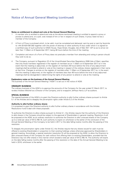# Notice of Annual General Meeting (continued)

# **Notes on entitlement to attend and vote at the Annual General Meeting:**

- 1 A member who is entitled to attend and vote at the above-mentioned meeting is entitled to appoint a proxy or proxies to attend and, on a poll, vote instead of him or her in respect of such shares. A proxy need not be a member of the Company.
- 2 A Form of Proxy is enclosed which, to be valid, must be completed and delivered, sent by post or sent by facsimile to +44 (0)1624 681392 together with the power of attorney or other authority (if any) under which it is signed (or a certified copy of such authority) to IOMA House, Hope Street, Douglas, Isle of Man IM1 1AP so as to arrive not later than 11.00am on 6 September 2017, being 48 hours before the time of the meeting.
- 3 Completion and return of a Form of Proxy does not preclude a member from attending and voting in person should they wish to do so.
- 4 The Company, pursuant to Regulation 22 of the Uncertificated Securities Regulations 2006 (Isle of Man), specifies that only those members registered in the register of members as at 11.00am on 6 September 2017 (or in the event that the meeting is adjourned, on the register of members 48 hours before the time of any adjournment meeting) shall be entitled to attend or vote at the meeting in respect of the ordinary shares registered in their name at that time. Changes to entries on the register of members after 11.00am on 6 September 2017 (or, in the event that the meeting is adjourned, on the register of members less than 48 hours before the time of any adjourned meeting) shall be disregarded in determining the rights of any person to attend or vote at the meeting.

# **Explanatory notes on the business of the Annual General Meeting**

The business of the Annual General Meeting ("AGM") is set out in the notice of AGM.

### **ORDINARY BUSINESS**

The ordinary business of the AGM is to approve the accounts of the Company for the year ended 31 March 2017, to re-elect Andrew Mitchell as a Director of the Company, and to re-appoint Jeffreys Henry LLP as auditors.

# **SPECIAL BUSINESS**

The special business of the AGM is to grant the Directors authority to allot further ordinary shares pursuant to Article 5.1 of the Articles and to disapply the pre-emption rights under Article 5.2 of the Articles.

#### **Authority to allot further ordinary shares**

It is proposed to grant the Directors authority to allot further ordinary shares in accordance with the Articles. Resolutions 4 and 5 deal with these proposals.

To authorise the Directors to allow shares pursuant to Article 5.1, the Articles require that the authority of the Directors to allot shares in the Company should be subject to the approval of Shareholders in general meeting. Resolution 4 will be proposed at the AGM, as an ordinary resolution to authorise the Directors to allot unissued shares of the Company up to a total par value of  $\epsilon$ 412,766.16, such authority to expire on whichever is the earlier of the conclusion of the Annual General Meeting of the Company to be held in 2017 or the date falling twelve months after the passing of this resolution.

To disapply the pre-emption rights under Article 5.2, the Articles require that any shares issued for cash must be offered to existing Shareholders in proportion to their existing holdings unless otherwise approved by Shareholders in general meeting. Accordingly, a special resolution (resolution 5) will be proposed at the AGM, to allow the Directors to allot unissued shares of the Company for cash without first offering them to existing Shareholders, provided that the Directors may not offer shares in this manner which exceed a total par value of  $£412,766.16$ . This authority will expire on the date falling twelve months after the passing of this resolution or the date of the Annual General Meeting to be held in 2018, whichever is the earlier.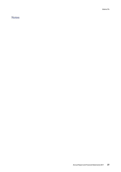# Notes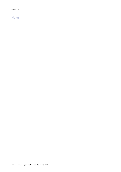# Notes